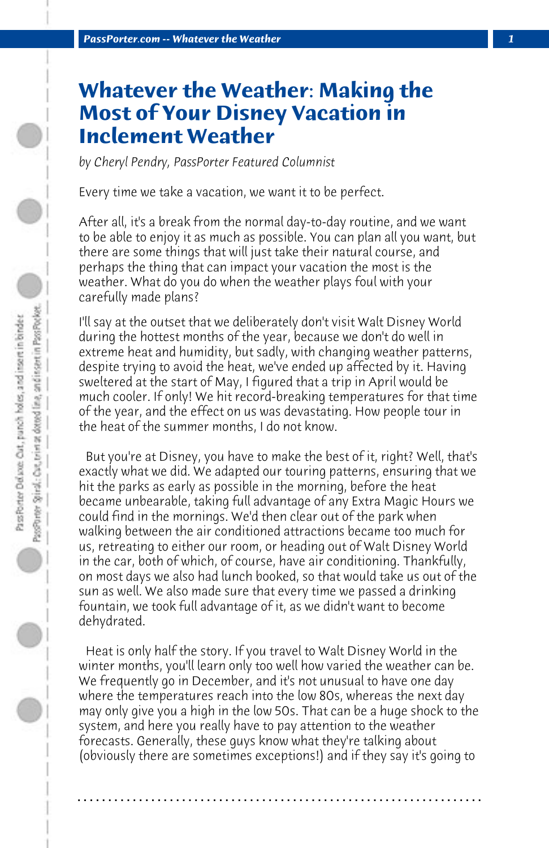## **Whatever the Weather: Making the Most of Your Disney Vacation in Inclement Weather**

*by Cheryl Pendry, PassPorter Featured Columnist*

Every time we take a vacation, we want it to be perfect.

After all, it's a break from the normal day-to-day routine, and we want to be able to enjoy it as much as possible. You can plan all you want, but there are some things that will just take their natural course, and perhaps the thing that can impact your vacation the most is the weather. What do you do when the weather plays foul with your carefully made plans?

I'll say at the outset that we deliberately don't visit Walt Disney World during the hottest months of the year, because we don't do well in extreme heat and humidity, but sadly, with changing weather patterns, despite trying to avoid the heat, we've ended up affected by it. Having sweltered at the start of May, I figured that a trip in April would be much cooler. If only! We hit record-breaking temperatures for that time of the year, and the effect on us was devastating. How people tour in the heat of the summer months, I do not know.

 But you're at Disney, you have to make the best of it, right? Well, that's exactly what we did. We adapted our touring patterns, ensuring that we hit the parks as early as possible in the morning, before the heat became unbearable, taking full advantage of any Extra Magic Hours we could find in the mornings. We'd then clear out of the park when walking between the air conditioned attractions became too much for us, retreating to either our room, or heading out of Walt Disney World in the car, both of which, of course, have air conditioning. Thankfully, on most days we also had lunch booked, so that would take us out of the sun as well. We also made sure that every time we passed a drinking fountain, we took full advantage of it, as we didn't want to become dehydrated.

 Heat is only half the story. If you travel to Walt Disney World in the winter months, you'll learn only too well how varied the weather can be. We frequently go in December, and it's not unusual to have one day where the temperatures reach into the low 80s, whereas the next day may only give you a high in the low 50s. That can be a huge shock to the system, and here you really have to pay attention to the weather forecasts. Generally, these guys know what they're talking about (obviously there are sometimes exceptions!) and if they say it's going to

**. . . . . . . . . . . . . . . . . . . . . . . . . . . . . . . . . . . . . . . . . . . . . . . . . . . . . . . . . . . . . . . . . .**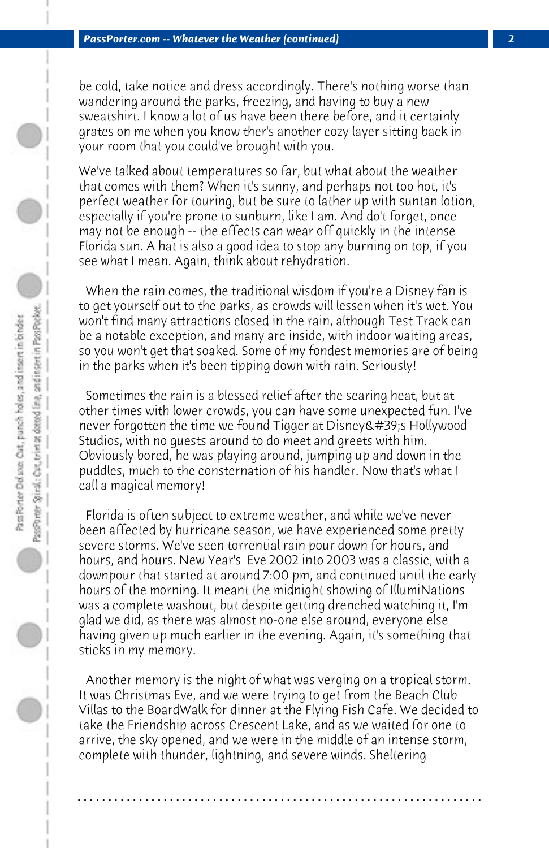be cold, take notice and dress accordingly. There's nothing worse than wandering around the parks, freezing, and having to buy a new sweatshirt. I know a lot of us have been there before, and it certainly grates on me when you know ther's another cozy layer sitting back in your room that you could've brought with you.

We've talked about temperatures so far, but what about the weather that comes with them? When it's sunny, and perhaps not too hot, it's perfect weather for touring, but be sure to lather up with suntan lotion, especially if you're prone to sunburn, like I am. And do't forget, once may not be enough -- the effects can wear off quickly in the intense Florida sun. A hat is also a good idea to stop any burning on top, if you see what I mean. Again, think about rehydration.

 When the rain comes, the traditional wisdom if you're a Disney fan is to get yourself out to the parks, as crowds will lessen when it's wet. You won't find many attractions closed in the rain, although Test Track can be a notable exception, and many are inside, with indoor waiting areas, so you won't get that soaked. Some of my fondest memories are of being in the parks when it's been tipping down with rain. Seriously!

 Sometimes the rain is a blessed relief after the searing heat, but at other times with lower crowds, you can have some unexpected fun. I've never forgotten the time we found Tigger at Disney & #39;s Hollywood Studios, with no guests around to do meet and greets with him. Obviously bored, he was playing around, jumping up and down in the puddles, much to the consternation of his handler. Now that's what I call a magical memory!

 Florida is often subject to extreme weather, and while we've never been affected by hurricane season, we have experienced some pretty severe storms. We've seen torrential rain pour down for hours, and hours, and hours. New Year's Eve 2002 into 2003 was a classic, with a downpour that started at around 7:00 pm, and continued until the early hours of the morning. It meant the midnight showing of IllumiNations was a complete washout, but despite getting drenched watching it, I'm glad we did, as there was almost no-one else around, everyone else having given up much earlier in the evening. Again, it's something that sticks in my memory.

 Another memory is the night of what was verging on a tropical storm. It was Christmas Eve, and we were trying to get from the Beach Club Villas to the BoardWalk for dinner at the Flying Fish Cafe. We decided to take the Friendship across Crescent Lake, and as we waited for one to arrive, the sky opened, and we were in the middle of an intense storm, complete with thunder, lightning, and severe winds. Sheltering

**. . . . . . . . . . . . . . . . . . . . . . . . . . . . . . . . . . . . . . . . . . . . . . . . . . . . . . . . . . . . . . . . . .**